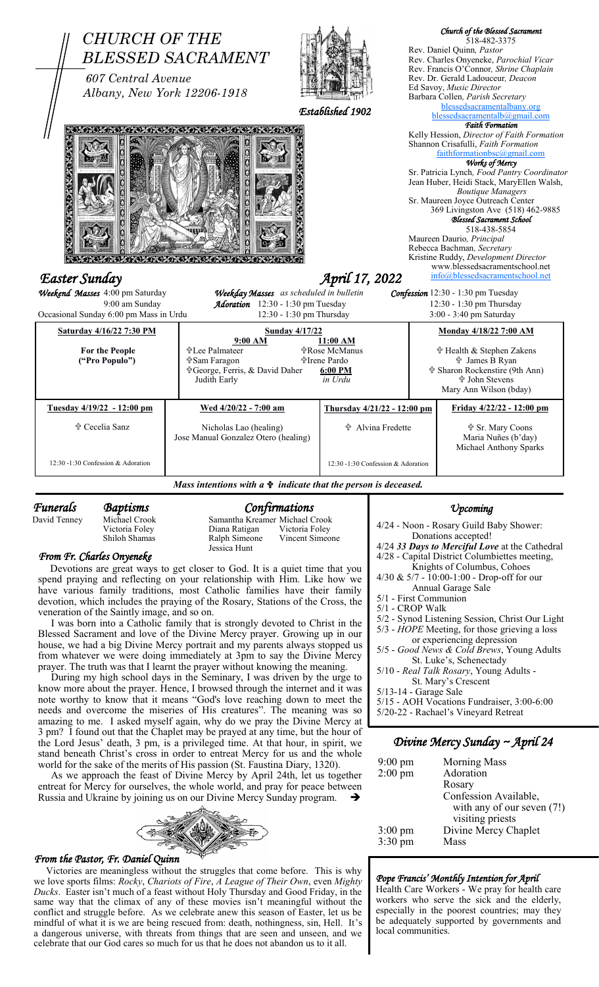

*Funerals Baptisms Confirmations* Victoria Foley

David Tenney Michael Crook Samantha Kreamer Michael Crook Shiloh Shamas Ralph Simeone Vincent Simeone Jessica Hunt

### *From Fr. Charles Onyeneke*

 Devotions are great ways to get closer to God. It is a quiet time that you spend praying and reflecting on your relationship with Him. Like how we have various family traditions, most Catholic families have their family devotion, which includes the praying of the Rosary, Stations of the Cross, the veneration of the Saintly image, and so on.

 I was born into a Catholic family that is strongly devoted to Christ in the Blessed Sacrament and love of the Divine Mercy prayer. Growing up in our house, we had a big Divine Mercy portrait and my parents always stopped us from whatever we were doing immediately at 3pm to say the Divine Mercy prayer. The truth was that I learnt the prayer without knowing the meaning.

 During my high school days in the Seminary, I was driven by the urge to know more about the prayer. Hence, I browsed through the internet and it was note worthy to know that it means "God's love reaching down to meet the needs and overcome the miseries of His creatures". The meaning was so amazing to me. I asked myself again, why do we pray the Divine Mercy at 3 pm? I found out that the Chaplet may be prayed at any time, but the hour of the Lord Jesus' death, 3 pm, is a privileged time. At that hour, in spirit, we stand beneath Christ's cross in order to entreat Mercy for us and the whole world for the sake of the merits of His passion (St. Faustina Diary, 1320).

 As we approach the feast of Divine Mercy by April 24th, let us together entreat for Mercy for ourselves, the whole world, and pray for peace between Russia and Ukraine by joining us on our Divine Mercy Sunday program.



# *From the Pastor, Fr. Daniel Quinn*

 Victories are meaningless without the struggles that come before. This is why we love sports films: *Rocky*, *Chariots of Fire*, *A League of Their Own*, even *Mighty Ducks*. Easter isn't much of a feast without Holy Thursday and Good Friday, in the same way that the climax of any of these movies isn't meaningful without the conflict and struggle before. As we celebrate anew this season of Easter, let us be mindful of what it is we are being rescued from: death, nothingness, sin, Hell. It's a dangerous universe, with threats from things that are seen and unseen, and we celebrate that our God cares so much for us that he does not abandon us to it all.

## *Upcoming*

4/24 - Noon - Rosary Guild Baby Shower: Donations accepted! 4/24 *33 Days to Merciful Love* at the Cathedral 4/28 - Capital District Columbiettes meeting, Knights of Columbus, Cohoes 4/30 & 5/7 - 10:00-1:00 - Drop-off for our Annual Garage Sale 5/1 - First Communion 5/1 - CROP Walk 5/2 - Synod Listening Session, Christ Our Light 5/3 - *HOPE* Meeting, for those grieving a loss or experiencing depression 5/5 - *Good News & Cold Brews*, Young Adults St. Luke's, Schenectady 5/10 - *Real Talk Rosary*, Young Adults - St. Mary's Crescent 5/13-14 - Garage Sale 5/15 - AOH Vocations Fundraiser, 3:00-6:00

5/20-22 - Rachael's Vineyard Retreat

# *Divine Mercy Sunday ~ April 24*

| $9:00 \text{ pm}$    | <b>Morning Mass</b>        |
|----------------------|----------------------------|
| $2:00$ pm            | Adoration                  |
|                      | Rosary                     |
|                      | Confession Available,      |
|                      | with any of our seven (7!) |
|                      | visiting priests           |
| $3:00 \text{ pm}$    | Divine Mercy Chaplet       |
| $3:30 \,\mathrm{pm}$ | Mass                       |
|                      |                            |

#### *Pope Francis' Monthly Intention for April*

Health Care Workers - We pray for health care workers who serve the sick and the elderly, especially in the poorest countries; may they be adequately supported by governments and local communities.